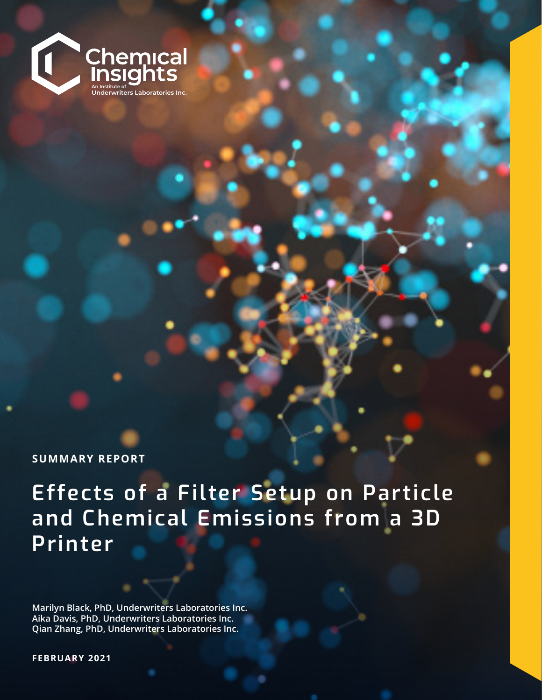

**SUMMARY REPORT**

**Effects of a Filter Setup on Particle and Chemical Emissions from a 3D Printer** 

**Marilyn Black, PhD, Underwriters Laboratories Inc. Aika Davis, PhD, Underwriters Laboratories Inc. Qian Zhang, PhD, Underwriters Laboratories Inc.**

2021© Underwriters Laboratories Inc. Report 180 | 1 **FEBRUARY 2021**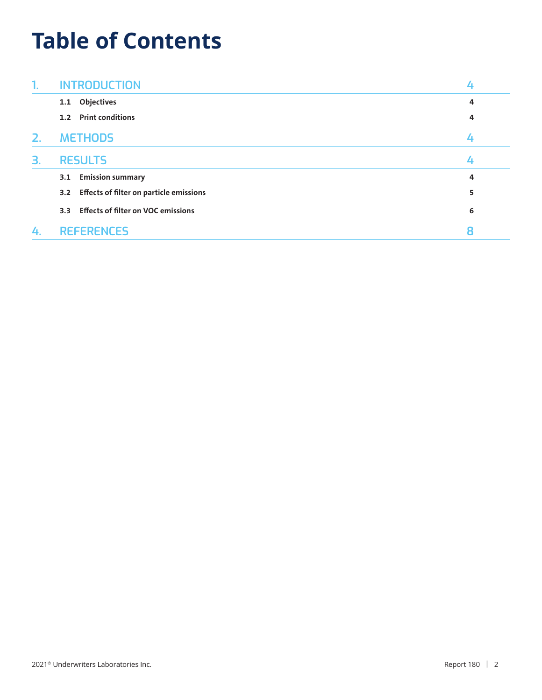## **Table of Contents**

| 1. | <b>INTRODUCTION</b>                              |   |
|----|--------------------------------------------------|---|
|    | Objectives<br>1.1                                | 4 |
|    | <b>Print conditions</b><br>1.2                   | 4 |
| 2. | <b>METHODS</b>                                   |   |
| 3. | <b>RESULTS</b>                                   |   |
|    | <b>Emission summary</b><br>3.1                   | 4 |
|    | 3.2 Effects of filter on particle emissions      | 5 |
|    | <b>Effects of filter on VOC emissions</b><br>3.3 | 6 |
| 4. | <b>REFERENCES</b>                                | 8 |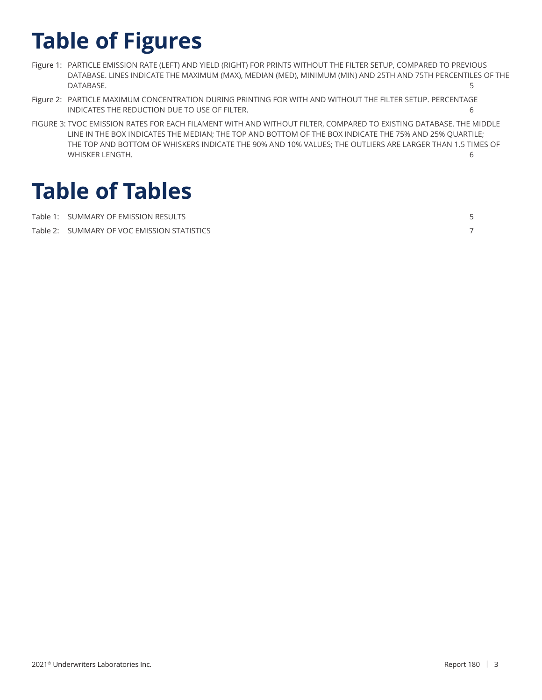# **Table of Figures**

- Figure 1: PARTICLE EMISSION RATE (LEFT) AND YIELD (RIGHT) FOR PRINTS WITHOUT THE FILTER SETUP, COMPARED TO PREVIOUS DATABASE. LINES INDICATE THE MAXIMUM (MAX), MEDIAN (MED), MINIMUM (MIN) AND 25TH AND 75TH PERCENTILES OF THE DATABASE. 5
- Figure 2: PARTICLE MAXIMUM CONCENTRATION DURING PRINTING FOR WITH AND WITHOUT THE FILTER SETUP. PERCENTAGE INDICATES THE REDUCTION DUE TO USE OF FILTER. 6
- FIGURE 3: TVOC EMISSION RATES FOR EACH FILAMENT WITH AND WITHOUT FILTER, COMPARED TO EXISTING DATABASE. THE MIDDLE LINE IN THE BOX INDICATES THE MEDIAN; THE TOP AND BOTTOM OF THE BOX INDICATE THE 75% AND 25% QUARTILE; THE TOP AND BOTTOM OF WHISKERS INDICATE THE 90% AND 10% VALUES; THE OUTLIERS ARE LARGER THAN 1.5 TIMES OF WHISKER LENGTH. 6

## **Table of Tables**

| Table 1: SUMMARY OF EMISSION RESULTS        |  |
|---------------------------------------------|--|
| Table 2: SUMMARY OF VOC EMISSION STATISTICS |  |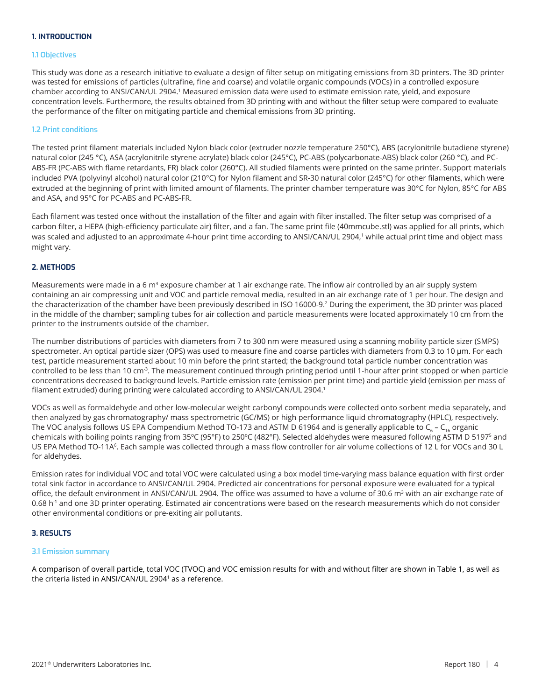### **1. INTRODUCTION**

#### **1.1 Objectives**

This study was done as a research initiative to evaluate a design of filter setup on mitigating emissions from 3D printers. The 3D printer was tested for emissions of particles (ultrafine, fine and coarse) and volatile organic compounds (VOCs) in a controlled exposure chamber according to ANSI/CAN/UL 2904.<sup>1</sup> Measured emission data were used to estimate emission rate, yield, and exposure concentration levels. Furthermore, the results obtained from 3D printing with and without the filter setup were compared to evaluate the performance of the filter on mitigating particle and chemical emissions from 3D printing.

#### **1.2 Print conditions**

The tested print filament materials included Nylon black color (extruder nozzle temperature 250°C), ABS (acrylonitrile butadiene styrene) natural color (245 °C), ASA (acrylonitrile styrene acrylate) black color (245°C), PC-ABS (polycarbonate-ABS) black color (260 °C), and PC-ABS-FR (PC-ABS with flame retardants, FR) black color (260°C). All studied filaments were printed on the same printer. Support materials included PVA (polyvinyl alcohol) natural color (210°C) for Nylon filament and SR-30 natural color (245°C) for other filaments, which were extruded at the beginning of print with limited amount of filaments. The printer chamber temperature was 30°C for Nylon, 85°C for ABS and ASA, and 95°C for PC-ABS and PC-ABS-FR.

Each filament was tested once without the installation of the filter and again with filter installed. The filter setup was comprised of a carbon filter, a HEPA (high-efficiency particulate air) filter, and a fan. The same print file (40mmcube.stl) was applied for all prints, which was scaled and adjusted to an approximate 4-hour print time according to ANSI/CAN/UL 2904,<sup>1</sup> while actual print time and object mass might vary.

#### **2. METHODS**

Measurements were made in a 6  $m<sup>3</sup>$  exposure chamber at 1 air exchange rate. The inflow air controlled by an air supply system containing an air compressing unit and VOC and particle removal media, resulted in an air exchange rate of 1 per hour. The design and the characterization of the chamber have been previously described in ISO 16000-9.<sup>2</sup> During the experiment, the 3D printer was placed in the middle of the chamber; sampling tubes for air collection and particle measurements were located approximately 10 cm from the printer to the instruments outside of the chamber.

The number distributions of particles with diameters from 7 to 300 nm were measured using a scanning mobility particle sizer (SMPS) spectrometer. An optical particle sizer (OPS) was used to measure fine and coarse particles with diameters from 0.3 to 10 μm. For each test, particle measurement started about 10 min before the print started; the background total particle number concentration was controlled to be less than 10 cm<sup>3</sup>. The measurement continued through printing period until 1-hour after print stopped or when particle concentrations decreased to background levels. Particle emission rate (emission per print time) and particle yield (emission per mass of filament extruded) during printing were calculated according to ANSI/CAN/UL 2904.<sup>1</sup>

VOCs as well as formaldehyde and other low-molecular weight carbonyl compounds were collected onto sorbent media separately, and then analyzed by gas chromatography/ mass spectrometric (GC/MS) or high performance liquid chromatography (HPLC), respectively. The VOC analysis follows US EPA Compendium Method TO-173 and ASTM D 61964 and is generally applicable to  $C_{\epsilon}$  – C<sub>16</sub> organic chemicals with boiling points ranging from 35ºC (95°F) to 250ºC (482°F). Selected aldehydes were measured following ASTM D 51975 and US EPA Method TO-11A<sup>6</sup>. Each sample was collected through a mass flow controller for air volume collections of 12 L for VOCs and 30 L for aldehydes.

Emission rates for individual VOC and total VOC were calculated using a box model time-varying mass balance equation with first order total sink factor in accordance to ANSI/CAN/UL 2904. Predicted air concentrations for personal exposure were evaluated for a typical office, the default environment in ANSI/CAN/UL 2904. The office was assumed to have a volume of 30.6 m<sup>3</sup> with an air exchange rate of 0.68 h<sup>-1</sup> and one 3D printer operating. Estimated air concentrations were based on the research measurements which do not consider other environmental conditions or pre-exiting air pollutants.

#### **3. RESULTS**

#### **3.1 Emission summary**

A comparison of overall particle, total VOC (TVOC) and VOC emission results for with and without filter are shown in Table 1, as well as the criteria listed in ANSI/CAN/UL 2904<sup>1</sup> as a reference.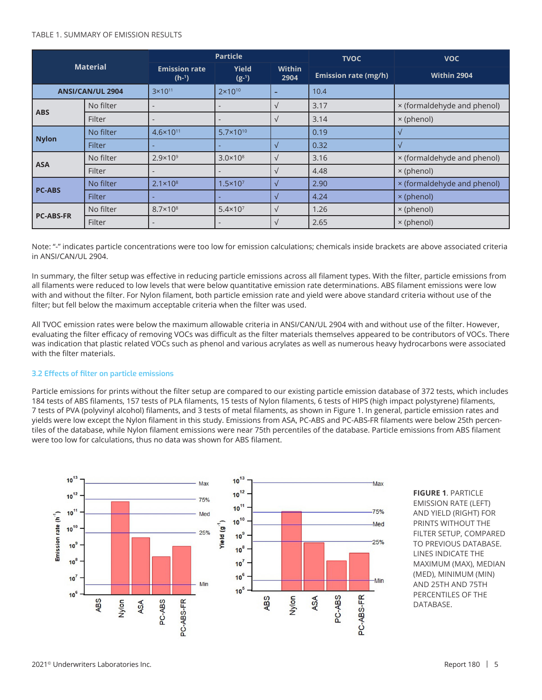#### TABLE 1. SUMMARY OF EMISSION RESULTS

| <b>Material</b>         |               |                                 | <b>Particle</b>      |                       | <b>TVOC</b>                 | <b>VOC</b>                  |  |
|-------------------------|---------------|---------------------------------|----------------------|-----------------------|-----------------------------|-----------------------------|--|
|                         |               | <b>Emission rate</b><br>$(h-1)$ | Yield<br>$(g-1)$     | <b>Within</b><br>2904 | <b>Emission rate (mg/h)</b> | Within 2904                 |  |
| <b>ANSI/CAN/UL 2904</b> |               | $3 \times 10^{11}$              | $2 \times 10^{10}$   | ۰                     | 10.4                        |                             |  |
|                         | No filter     |                                 |                      | $\sqrt{}$             | 3.17                        | × (formaldehyde and phenol) |  |
| <b>ABS</b>              | Filter        |                                 |                      | $\sqrt{}$             | 3.14                        | × (phenol)                  |  |
|                         | No filter     | $4.6 \times 10^{11}$            | $5.7 \times 10^{10}$ |                       | 0.19                        |                             |  |
| <b>Nylon</b>            | <b>Filter</b> |                                 |                      | $\sqrt{}$             | 0.32                        | $\sqrt{ }$                  |  |
| <b>ASA</b>              | No filter     | $2.9 \times 10^9$               | $3.0 \times 10^8$    | $\sqrt{}$             | 3.16                        | × (formaldehyde and phenol) |  |
|                         | Filter        |                                 |                      | $\sqrt{}$             | 4.48                        | × (phenol)                  |  |
| <b>PC-ABS</b>           | No filter     | $2.1 \times 10^8$               | $1.5 \times 10^{7}$  | $\sqrt{ }$            | 2.90                        | × (formaldehyde and phenol) |  |
|                         | <b>Filter</b> |                                 |                      | √                     | 4.24                        | × (phenol)                  |  |
| <b>PC-ABS-FR</b>        | No filter     | $8.7 \times 10^{8}$             | $5.4 \times 10^{7}$  | $\sqrt{ }$            | 1.26                        | × (phenol)                  |  |
|                         | Filter        |                                 | $\qquad \qquad$      | $\sqrt{}$             | 2.65                        | × (phenol)                  |  |

Note: "-" indicates particle concentrations were too low for emission calculations; chemicals inside brackets are above associated criteria in ANSI/CAN/UL 2904.

In summary, the filter setup was effective in reducing particle emissions across all filament types. With the filter, particle emissions from all filaments were reduced to low levels that were below quantitative emission rate determinations. ABS filament emissions were low with and without the filter. For Nylon filament, both particle emission rate and yield were above standard criteria without use of the filter; but fell below the maximum acceptable criteria when the filter was used.

All TVOC emission rates were below the maximum allowable criteria in ANSI/CAN/UL 2904 with and without use of the filter. However, evaluating the filter efficacy of removing VOCs was difficult as the filter materials themselves appeared to be contributors of VOCs. There was indication that plastic related VOCs such as phenol and various acrylates as well as numerous heavy hydrocarbons were associated with the filter materials.

#### **3.2 Effects of filter on particle emissions**

Particle emissions for prints without the filter setup are compared to our existing particle emission database of 372 tests, which includes 184 tests of ABS filaments, 157 tests of PLA filaments, 15 tests of Nylon filaments, 6 tests of HIPS (high impact polystyrene) filaments, 7 tests of PVA (polyvinyl alcohol) filaments, and 3 tests of metal filaments, as shown in Figure 1. In general, particle emission rates and yields were low except the Nylon filament in this study. Emissions from ASA, PC-ABS and PC-ABS-FR filaments were below 25th percentiles of the database, while Nylon filament emissions were near 75th percentiles of the database. Particle emissions from ABS filament were too low for calculations, thus no data was shown for ABS filament.



**FIGURE 1**. PARTICLE EMISSION RATE (LEFT) AND YIELD (RIGHT) FOR PRINTS WITHOUT THE FILTER SETUP, COMPARED TO PREVIOUS DATABASE. LINES INDICATE THE MAXIMUM (MAX), MEDIAN (MED), MINIMUM (MIN) AND 25TH AND 75TH PERCENTILES OF THE DATABASE.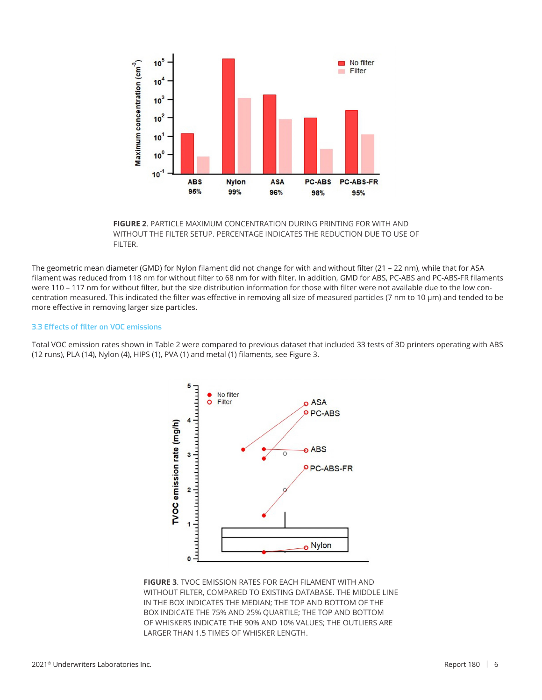

**FIGURE 2**. PARTICLE MAXIMUM CONCENTRATION DURING PRINTING FOR WITH AND WITHOUT THE FILTER SETUP. PERCENTAGE INDICATES THE REDUCTION DUE TO USE OF FILTER.

The geometric mean diameter (GMD) for Nylon filament did not change for with and without filter (21 – 22 nm), while that for ASA filament was reduced from 118 nm for without filter to 68 nm for with filter. In addition, GMD for ABS, PC-ABS and PC-ABS-FR filaments were 110 – 117 nm for without filter, but the size distribution information for those with filter were not available due to the low concentration measured. This indicated the filter was effective in removing all size of measured particles (7 nm to 10 µm) and tended to be more effective in removing larger size particles.

#### **3.3 Effects of filter on VOC emissions**

Total VOC emission rates shown in Table 2 were compared to previous dataset that included 33 tests of 3D printers operating with ABS (12 runs), PLA (14), Nylon (4), HIPS (1), PVA (1) and metal (1) filaments, see Figure 3.



**FIGURE 3**. TVOC EMISSION RATES FOR EACH FILAMENT WITH AND WITHOUT FILTER, COMPARED TO EXISTING DATABASE. THE MIDDLE LINE IN THE BOX INDICATES THE MEDIAN; THE TOP AND BOTTOM OF THE BOX INDICATE THE 75% AND 25% QUARTILE; THE TOP AND BOTTOM OF WHISKERS INDICATE THE 90% AND 10% VALUES; THE OUTLIERS ARE LARGER THAN 1.5 TIMES OF WHISKER LENGTH.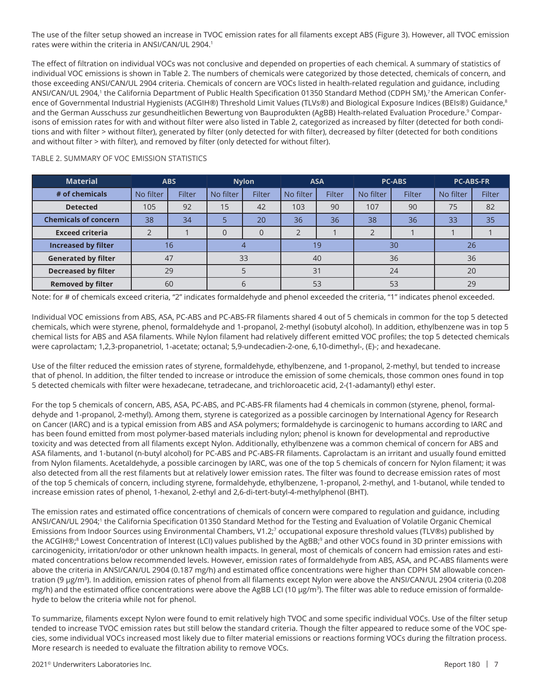The use of the filter setup showed an increase in TVOC emission rates for all filaments except ABS (Figure 3). However, all TVOC emission rates were within the criteria in ANSI/CAN/UL 2904.<sup>1</sup>

The effect of filtration on individual VOCs was not conclusive and depended on properties of each chemical. A summary of statistics of individual VOC emissions is shown in Table 2. The numbers of chemicals were categorized by those detected, chemicals of concern, and those exceeding ANSI/CAN/UL 2904 criteria. Chemicals of concern are VOCs listed in health-related regulation and guidance, including ANSI/CAN/UL 2904,<sup>1</sup> the California Department of Public Health Specification 01350 Standard Method (CDPH SM),<sup>7</sup> the American Conference of Governmental Industrial Hygienists (ACGIH®) Threshold Limit Values (TLVs®) and Biological Exposure Indices (BEIs®) Guidance,<sup>8</sup> and the German Ausschuss zur gesundheitlichen Bewertung von Bauprodukten (AgBB) Health-related Evaluation Procedure.<sup>9</sup> Comparisons of emission rates for with and without filter were also listed in Table 2, categorized as increased by filter (detected for both conditions and with filter > without filter), generated by filter (only detected for with filter), decreased by filter (detected for both conditions and without filter > with filter), and removed by filter (only detected for without filter).

| <b>Material</b>             | <b>ABS</b> |        | <b>Nylon</b> |          | <b>ASA</b> |        | <b>PC-ABS</b> |        | <b>PC-ABS-FR</b> |               |
|-----------------------------|------------|--------|--------------|----------|------------|--------|---------------|--------|------------------|---------------|
| # of chemicals              | No filter  | Filter | No filter    | Filter   | No filter  | Filter | No filter     | Filter | No filter        | <b>Filter</b> |
| <b>Detected</b>             | 105        | 92     | 15           | 42       | 103        | 90     | 107           | 90     | 75               | 82            |
| <b>Chemicals of concern</b> | 38         | 34     |              | 20       | 36         | 36     | 38            | 36     | 33               | 35            |
| <b>Exceed criteria</b>      |            |        | $\Omega$     | $\Omega$ |            |        |               |        |                  |               |
| <b>Increased by filter</b>  | 16         |        |              |          | 19         |        | 30            |        | 26               |               |
| <b>Generated by filter</b>  |            | 47     | 33           |          | 40         |        | 36            |        | 36               |               |
| <b>Decreased by filter</b>  |            | 29     |              |          | 31         |        | 24            |        | 20               |               |
| <b>Removed by filter</b>    |            | 60     | $\mathsf{h}$ |          | 53         |        | 53            |        | 29               |               |

#### TABLE 2. SUMMARY OF VOC EMISSION STATISTICS

Note: for # of chemicals exceed criteria, "2" indicates formaldehyde and phenol exceeded the criteria, "1" indicates phenol exceeded.

Individual VOC emissions from ABS, ASA, PC-ABS and PC-ABS-FR filaments shared 4 out of 5 chemicals in common for the top 5 detected chemicals, which were styrene, phenol, formaldehyde and 1-propanol, 2-methyl (isobutyl alcohol). In addition, ethylbenzene was in top 5 chemical lists for ABS and ASA filaments. While Nylon filament had relatively different emitted VOC profiles; the top 5 detected chemicals were caprolactam; 1,2,3-propanetriol, 1-acetate; octanal; 5,9-undecadien-2-one, 6,10-dimethyl-, (E)-; and hexadecane.

Use of the filter reduced the emission rates of styrene, formaldehyde, ethylbenzene, and 1-propanol, 2-methyl, but tended to increase that of phenol. In addition, the filter tended to increase or introduce the emission of some chemicals, those common ones found in top 5 detected chemicals with filter were hexadecane, tetradecane, and trichloroacetic acid, 2-(1-adamantyl) ethyl ester.

For the top 5 chemicals of concern, ABS, ASA, PC-ABS, and PC-ABS-FR filaments had 4 chemicals in common (styrene, phenol, formaldehyde and 1-propanol, 2-methyl). Among them, styrene is categorized as a possible carcinogen by International Agency for Research on Cancer (IARC) and is a typical emission from ABS and ASA polymers; formaldehyde is carcinogenic to humans according to IARC and has been found emitted from most polymer-based materials including nylon; phenol is known for developmental and reproductive toxicity and was detected from all filaments except Nylon. Additionally, ethylbenzene was a common chemical of concern for ABS and ASA filaments, and 1-butanol (n-butyl alcohol) for PC-ABS and PC-ABS-FR filaments. Caprolactam is an irritant and usually found emitted from Nylon filaments. Acetaldehyde, a possible carcinogen by IARC, was one of the top 5 chemicals of concern for Nylon filament; it was also detected from all the rest filaments but at relatively lower emission rates. The filter was found to decrease emission rates of most of the top 5 chemicals of concern, including styrene, formaldehyde, ethylbenzene, 1-propanol, 2-methyl, and 1-butanol, while tended to increase emission rates of phenol, 1-hexanol, 2-ethyl and 2,6-di-tert-butyl-4-methylphenol (BHT).

The emission rates and estimated office concentrations of chemicals of concern were compared to regulation and guidance, including ANSI/CAN/UL 2904;<sup>1</sup> the California Specification 01350 Standard Method for the Testing and Evaluation of Volatile Organic Chemical Emissions from Indoor Sources using Environmental Chambers, V1.2;<sup>7</sup> occupational exposure threshold values (TLV®s) published by the ACGIH®;<sup>8</sup> Lowest Concentration of Interest (LCI) values published by the AgBB;<sup>9</sup> and other VOCs found in 3D printer emissions with carcinogenicity, irritation/odor or other unknown health impacts. In general, most of chemicals of concern had emission rates and estimated concentrations below recommended levels. However, emission rates of formaldehyde from ABS, ASA, and PC-ABS filaments were above the criteria in ANSI/CAN/UL 2904 (0.187 mg/h) and estimated office concentrations were higher than CDPH SM allowable concentration (9 µg/m<sup>3</sup>). In addition, emission rates of phenol from all filaments except Nylon were above the ANSI/CAN/UL 2904 criteria (0.208 mg/h) and the estimated office concentrations were above the AgBB LCI (10  $\mu$ g/m<sup>3</sup>). The filter was able to reduce emission of formaldehyde to below the criteria while not for phenol.

To summarize, filaments except Nylon were found to emit relatively high TVOC and some specific individual VOCs. Use of the filter setup tended to increase TVOC emission rates but still below the standard criteria. Though the filter appeared to reduce some of the VOC species, some individual VOCs increased most likely due to filter material emissions or reactions forming VOCs during the filtration process. More research is needed to evaluate the filtration ability to remove VOCs.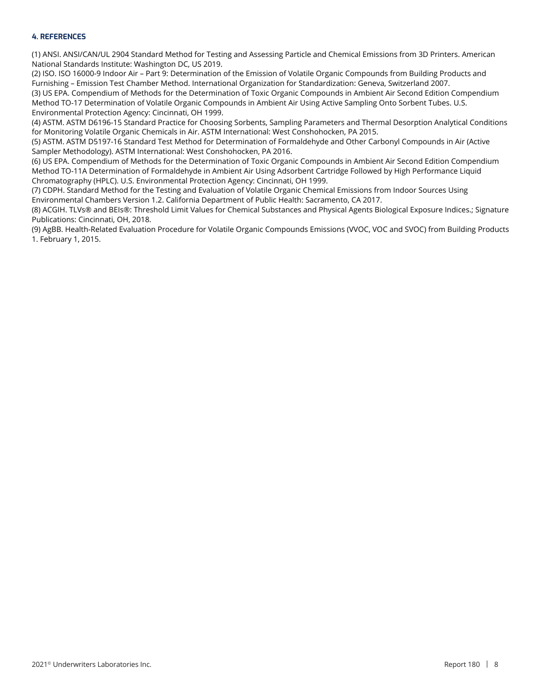#### **4. REFERENCES**

(1) ANSI. ANSI/CAN/UL 2904 Standard Method for Testing and Assessing Particle and Chemical Emissions from 3D Printers. American National Standards Institute: Washington DC, US 2019.

(2) ISO. ISO 16000-9 Indoor Air – Part 9: Determination of the Emission of Volatile Organic Compounds from Building Products and Furnishing – Emission Test Chamber Method. International Organization for Standardization: Geneva, Switzerland 2007.

(3) US EPA. Compendium of Methods for the Determination of Toxic Organic Compounds in Ambient Air Second Edition Compendium Method TO-17 Determination of Volatile Organic Compounds in Ambient Air Using Active Sampling Onto Sorbent Tubes. U.S. Environmental Protection Agency: Cincinnati, OH 1999.

(4) ASTM. ASTM D6196-15 Standard Practice for Choosing Sorbents, Sampling Parameters and Thermal Desorption Analytical Conditions for Monitoring Volatile Organic Chemicals in Air. ASTM International: West Conshohocken, PA 2015.

(5) ASTM. ASTM D5197-16 Standard Test Method for Determination of Formaldehyde and Other Carbonyl Compounds in Air (Active Sampler Methodology). ASTM International: West Conshohocken, PA 2016.

(6) US EPA. Compendium of Methods for the Determination of Toxic Organic Compounds in Ambient Air Second Edition Compendium Method TO-11A Determination of Formaldehyde in Ambient Air Using Adsorbent Cartridge Followed by High Performance Liquid Chromatography (HPLC). U.S. Environmental Protection Agency: Cincinnati, OH 1999.

(7) CDPH. Standard Method for the Testing and Evaluation of Volatile Organic Chemical Emissions from Indoor Sources Using Environmental Chambers Version 1.2. California Department of Public Health: Sacramento, CA 2017.

(8) ACGIH. TLVs® and BEIs®: Threshold Limit Values for Chemical Substances and Physical Agents Biological Exposure Indices.; Signature Publications: Cincinnati, OH, 2018.

(9) AgBB. Health-Related Evaluation Procedure for Volatile Organic Compounds Emissions (VVOC, VOC and SVOC) from Building Products 1. February 1, 2015.